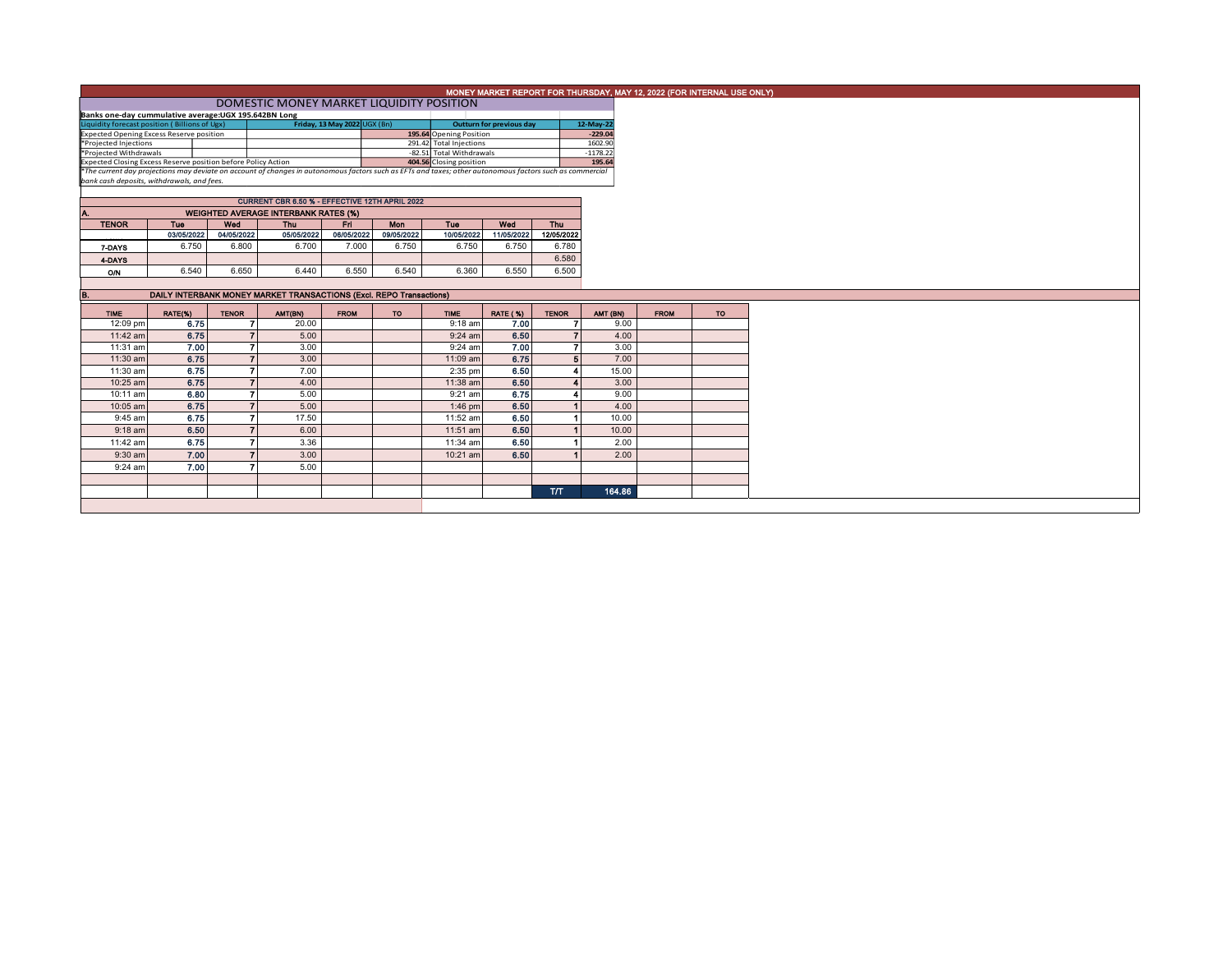| MONEY MARKET REPORT FOR THURSDAY, MAY 12, 2022 (FOR INTERNAL USE ONLY)<br>DOMESTIC MONEY MARKET LIQUIDITY POSITION<br>Banks one-day cummulative average: UGX 195.642BN Long<br>Friday, 13 May 2022 UGX (Bn)<br>12-May-22<br><b>Outturn for previous day</b><br>195.64 Opening Position<br>$-229.04$<br>291.42 Total Injections<br>1602.90<br>-82.51 Total Withdrawals<br>$-1178.22$<br>404.56 Closing position<br>195.64<br>CURRENT CBR 6.50 % - EFFECTIVE 12TH APRIL 2022<br><b>WEIGHTED AVERAGE INTERBANK RATES (%)</b><br><b>Thu</b><br><b>TENOR</b><br>Tue<br>Wed<br>Fri -<br>Mon<br>Tue<br>Wed<br>Thu<br>03/05/2022<br>04/05/2022<br>05/05/2022<br>06/05/2022<br>09/05/2022<br>10/05/2022<br>11/05/2022<br>12/05/2022<br>6.750<br>6.700<br>7.000<br>6.750<br>6.750<br>6.800<br>6.750<br>6.780<br>7-DAYS<br>6.580<br>4-DAYS<br>6.540<br>6.650<br>6.550<br>6.540<br>6.360<br>6.550<br>6.500<br>6.440<br>O/N<br>DAILY INTERBANK MONEY MARKET TRANSACTIONS (Excl. REPO Transactions)<br><b>RATE (%)</b><br>AMT (BN)<br>RATE(%)<br><b>TENOR</b><br>AMT(BN)<br><b>FROM</b><br><b>TENOR</b><br><b>FROM</b><br>TO:<br><b>TIME</b><br>TO:<br><b>TIME</b><br>12:09 pm<br>6.75<br>20.00<br>$9:18$ am<br>7.00<br>9.00<br>6.50<br>6.75<br>$\overline{7}$<br>4.00<br>11:42 am<br>5.00<br>$\overline{7}$<br>$9:24$ am<br>7.00<br>7.00<br>$\overline{7}$<br>3.00<br>3.00<br>11:31 am<br>$9:24$ am<br>7<br>6.75<br>6.75<br>$\overline{7}$<br>3.00<br>5 <sup>1</sup><br>7.00<br>11:30 am<br>11:09 am<br>6.75<br>6.50<br>$\overline{\phantom{a}}$<br>7.00<br>15.00<br>11:30 am<br>2:35 pm<br>6.75<br>$\overline{7}$<br>6.50<br>4.00<br>3.00<br>10:25 am<br>11:38 am<br>6.80<br>$\overline{7}$<br>6.75<br>5.00<br>9.00<br>10:11 am<br>$9:21$ am<br>6.50<br>6.75<br>$\overline{ }$<br>5.00<br>10:05 am<br>4.00<br>$1:46$ pm<br>6.75<br>$\overline{7}$<br>6.50<br>17.50<br>9:45 am<br>11:52 am<br>10.00<br>$\overline{7}$<br>6.50<br>6.00<br>6.50<br>$9:18$ am<br>10.00<br>11:51 am<br>6.75<br>$\overline{7}$<br>6.50<br>3.36<br>11:42 am<br>11:34 am<br>2.00<br>7.00<br>6.50<br>9:30 am<br>$\overline{z}$<br>3.00<br>2.00<br>10:21 am<br>7.00<br>$\overline{ }$<br>5.00<br>9:24 am<br><b>T/T</b><br>164.86 |  |  |  |  |  |  |  |  |  |  |  |  |  |  |  |
|--------------------------------------------------------------------------------------------------------------------------------------------------------------------------------------------------------------------------------------------------------------------------------------------------------------------------------------------------------------------------------------------------------------------------------------------------------------------------------------------------------------------------------------------------------------------------------------------------------------------------------------------------------------------------------------------------------------------------------------------------------------------------------------------------------------------------------------------------------------------------------------------------------------------------------------------------------------------------------------------------------------------------------------------------------------------------------------------------------------------------------------------------------------------------------------------------------------------------------------------------------------------------------------------------------------------------------------------------------------------------------------------------------------------------------------------------------------------------------------------------------------------------------------------------------------------------------------------------------------------------------------------------------------------------------------------------------------------------------------------------------------------------------------------------------------------------------------------------------------------------------------------------------------------------------------------------------------------------------------------------------------------------------------------------------------------------------------------------------------------------------------------------------------------------------------------|--|--|--|--|--|--|--|--|--|--|--|--|--|--|--|
| Liquidity forecast position (Billions of Ugx)<br><b>Expected Opening Excess Reserve position</b><br>*Projected Injections<br>*Projected Withdrawals<br>Expected Closing Excess Reserve position before Policy Action<br>*The current day projections may deviate on account of changes in autonomous factors such as EFTs and taxes; other autonomous factors such as commercial<br>bank cash deposits, withdrawals, and fees.                                                                                                                                                                                                                                                                                                                                                                                                                                                                                                                                                                                                                                                                                                                                                                                                                                                                                                                                                                                                                                                                                                                                                                                                                                                                                                                                                                                                                                                                                                                                                                                                                                                                                                                                                             |  |  |  |  |  |  |  |  |  |  |  |  |  |  |  |
|                                                                                                                                                                                                                                                                                                                                                                                                                                                                                                                                                                                                                                                                                                                                                                                                                                                                                                                                                                                                                                                                                                                                                                                                                                                                                                                                                                                                                                                                                                                                                                                                                                                                                                                                                                                                                                                                                                                                                                                                                                                                                                                                                                                            |  |  |  |  |  |  |  |  |  |  |  |  |  |  |  |
|                                                                                                                                                                                                                                                                                                                                                                                                                                                                                                                                                                                                                                                                                                                                                                                                                                                                                                                                                                                                                                                                                                                                                                                                                                                                                                                                                                                                                                                                                                                                                                                                                                                                                                                                                                                                                                                                                                                                                                                                                                                                                                                                                                                            |  |  |  |  |  |  |  |  |  |  |  |  |  |  |  |
|                                                                                                                                                                                                                                                                                                                                                                                                                                                                                                                                                                                                                                                                                                                                                                                                                                                                                                                                                                                                                                                                                                                                                                                                                                                                                                                                                                                                                                                                                                                                                                                                                                                                                                                                                                                                                                                                                                                                                                                                                                                                                                                                                                                            |  |  |  |  |  |  |  |  |  |  |  |  |  |  |  |
|                                                                                                                                                                                                                                                                                                                                                                                                                                                                                                                                                                                                                                                                                                                                                                                                                                                                                                                                                                                                                                                                                                                                                                                                                                                                                                                                                                                                                                                                                                                                                                                                                                                                                                                                                                                                                                                                                                                                                                                                                                                                                                                                                                                            |  |  |  |  |  |  |  |  |  |  |  |  |  |  |  |
|                                                                                                                                                                                                                                                                                                                                                                                                                                                                                                                                                                                                                                                                                                                                                                                                                                                                                                                                                                                                                                                                                                                                                                                                                                                                                                                                                                                                                                                                                                                                                                                                                                                                                                                                                                                                                                                                                                                                                                                                                                                                                                                                                                                            |  |  |  |  |  |  |  |  |  |  |  |  |  |  |  |
|                                                                                                                                                                                                                                                                                                                                                                                                                                                                                                                                                                                                                                                                                                                                                                                                                                                                                                                                                                                                                                                                                                                                                                                                                                                                                                                                                                                                                                                                                                                                                                                                                                                                                                                                                                                                                                                                                                                                                                                                                                                                                                                                                                                            |  |  |  |  |  |  |  |  |  |  |  |  |  |  |  |
|                                                                                                                                                                                                                                                                                                                                                                                                                                                                                                                                                                                                                                                                                                                                                                                                                                                                                                                                                                                                                                                                                                                                                                                                                                                                                                                                                                                                                                                                                                                                                                                                                                                                                                                                                                                                                                                                                                                                                                                                                                                                                                                                                                                            |  |  |  |  |  |  |  |  |  |  |  |  |  |  |  |
|                                                                                                                                                                                                                                                                                                                                                                                                                                                                                                                                                                                                                                                                                                                                                                                                                                                                                                                                                                                                                                                                                                                                                                                                                                                                                                                                                                                                                                                                                                                                                                                                                                                                                                                                                                                                                                                                                                                                                                                                                                                                                                                                                                                            |  |  |  |  |  |  |  |  |  |  |  |  |  |  |  |
|                                                                                                                                                                                                                                                                                                                                                                                                                                                                                                                                                                                                                                                                                                                                                                                                                                                                                                                                                                                                                                                                                                                                                                                                                                                                                                                                                                                                                                                                                                                                                                                                                                                                                                                                                                                                                                                                                                                                                                                                                                                                                                                                                                                            |  |  |  |  |  |  |  |  |  |  |  |  |  |  |  |
|                                                                                                                                                                                                                                                                                                                                                                                                                                                                                                                                                                                                                                                                                                                                                                                                                                                                                                                                                                                                                                                                                                                                                                                                                                                                                                                                                                                                                                                                                                                                                                                                                                                                                                                                                                                                                                                                                                                                                                                                                                                                                                                                                                                            |  |  |  |  |  |  |  |  |  |  |  |  |  |  |  |
|                                                                                                                                                                                                                                                                                                                                                                                                                                                                                                                                                                                                                                                                                                                                                                                                                                                                                                                                                                                                                                                                                                                                                                                                                                                                                                                                                                                                                                                                                                                                                                                                                                                                                                                                                                                                                                                                                                                                                                                                                                                                                                                                                                                            |  |  |  |  |  |  |  |  |  |  |  |  |  |  |  |
|                                                                                                                                                                                                                                                                                                                                                                                                                                                                                                                                                                                                                                                                                                                                                                                                                                                                                                                                                                                                                                                                                                                                                                                                                                                                                                                                                                                                                                                                                                                                                                                                                                                                                                                                                                                                                                                                                                                                                                                                                                                                                                                                                                                            |  |  |  |  |  |  |  |  |  |  |  |  |  |  |  |
|                                                                                                                                                                                                                                                                                                                                                                                                                                                                                                                                                                                                                                                                                                                                                                                                                                                                                                                                                                                                                                                                                                                                                                                                                                                                                                                                                                                                                                                                                                                                                                                                                                                                                                                                                                                                                                                                                                                                                                                                                                                                                                                                                                                            |  |  |  |  |  |  |  |  |  |  |  |  |  |  |  |
|                                                                                                                                                                                                                                                                                                                                                                                                                                                                                                                                                                                                                                                                                                                                                                                                                                                                                                                                                                                                                                                                                                                                                                                                                                                                                                                                                                                                                                                                                                                                                                                                                                                                                                                                                                                                                                                                                                                                                                                                                                                                                                                                                                                            |  |  |  |  |  |  |  |  |  |  |  |  |  |  |  |
|                                                                                                                                                                                                                                                                                                                                                                                                                                                                                                                                                                                                                                                                                                                                                                                                                                                                                                                                                                                                                                                                                                                                                                                                                                                                                                                                                                                                                                                                                                                                                                                                                                                                                                                                                                                                                                                                                                                                                                                                                                                                                                                                                                                            |  |  |  |  |  |  |  |  |  |  |  |  |  |  |  |
|                                                                                                                                                                                                                                                                                                                                                                                                                                                                                                                                                                                                                                                                                                                                                                                                                                                                                                                                                                                                                                                                                                                                                                                                                                                                                                                                                                                                                                                                                                                                                                                                                                                                                                                                                                                                                                                                                                                                                                                                                                                                                                                                                                                            |  |  |  |  |  |  |  |  |  |  |  |  |  |  |  |
|                                                                                                                                                                                                                                                                                                                                                                                                                                                                                                                                                                                                                                                                                                                                                                                                                                                                                                                                                                                                                                                                                                                                                                                                                                                                                                                                                                                                                                                                                                                                                                                                                                                                                                                                                                                                                                                                                                                                                                                                                                                                                                                                                                                            |  |  |  |  |  |  |  |  |  |  |  |  |  |  |  |
|                                                                                                                                                                                                                                                                                                                                                                                                                                                                                                                                                                                                                                                                                                                                                                                                                                                                                                                                                                                                                                                                                                                                                                                                                                                                                                                                                                                                                                                                                                                                                                                                                                                                                                                                                                                                                                                                                                                                                                                                                                                                                                                                                                                            |  |  |  |  |  |  |  |  |  |  |  |  |  |  |  |
|                                                                                                                                                                                                                                                                                                                                                                                                                                                                                                                                                                                                                                                                                                                                                                                                                                                                                                                                                                                                                                                                                                                                                                                                                                                                                                                                                                                                                                                                                                                                                                                                                                                                                                                                                                                                                                                                                                                                                                                                                                                                                                                                                                                            |  |  |  |  |  |  |  |  |  |  |  |  |  |  |  |
|                                                                                                                                                                                                                                                                                                                                                                                                                                                                                                                                                                                                                                                                                                                                                                                                                                                                                                                                                                                                                                                                                                                                                                                                                                                                                                                                                                                                                                                                                                                                                                                                                                                                                                                                                                                                                                                                                                                                                                                                                                                                                                                                                                                            |  |  |  |  |  |  |  |  |  |  |  |  |  |  |  |
|                                                                                                                                                                                                                                                                                                                                                                                                                                                                                                                                                                                                                                                                                                                                                                                                                                                                                                                                                                                                                                                                                                                                                                                                                                                                                                                                                                                                                                                                                                                                                                                                                                                                                                                                                                                                                                                                                                                                                                                                                                                                                                                                                                                            |  |  |  |  |  |  |  |  |  |  |  |  |  |  |  |
|                                                                                                                                                                                                                                                                                                                                                                                                                                                                                                                                                                                                                                                                                                                                                                                                                                                                                                                                                                                                                                                                                                                                                                                                                                                                                                                                                                                                                                                                                                                                                                                                                                                                                                                                                                                                                                                                                                                                                                                                                                                                                                                                                                                            |  |  |  |  |  |  |  |  |  |  |  |  |  |  |  |
|                                                                                                                                                                                                                                                                                                                                                                                                                                                                                                                                                                                                                                                                                                                                                                                                                                                                                                                                                                                                                                                                                                                                                                                                                                                                                                                                                                                                                                                                                                                                                                                                                                                                                                                                                                                                                                                                                                                                                                                                                                                                                                                                                                                            |  |  |  |  |  |  |  |  |  |  |  |  |  |  |  |
|                                                                                                                                                                                                                                                                                                                                                                                                                                                                                                                                                                                                                                                                                                                                                                                                                                                                                                                                                                                                                                                                                                                                                                                                                                                                                                                                                                                                                                                                                                                                                                                                                                                                                                                                                                                                                                                                                                                                                                                                                                                                                                                                                                                            |  |  |  |  |  |  |  |  |  |  |  |  |  |  |  |
|                                                                                                                                                                                                                                                                                                                                                                                                                                                                                                                                                                                                                                                                                                                                                                                                                                                                                                                                                                                                                                                                                                                                                                                                                                                                                                                                                                                                                                                                                                                                                                                                                                                                                                                                                                                                                                                                                                                                                                                                                                                                                                                                                                                            |  |  |  |  |  |  |  |  |  |  |  |  |  |  |  |
|                                                                                                                                                                                                                                                                                                                                                                                                                                                                                                                                                                                                                                                                                                                                                                                                                                                                                                                                                                                                                                                                                                                                                                                                                                                                                                                                                                                                                                                                                                                                                                                                                                                                                                                                                                                                                                                                                                                                                                                                                                                                                                                                                                                            |  |  |  |  |  |  |  |  |  |  |  |  |  |  |  |
|                                                                                                                                                                                                                                                                                                                                                                                                                                                                                                                                                                                                                                                                                                                                                                                                                                                                                                                                                                                                                                                                                                                                                                                                                                                                                                                                                                                                                                                                                                                                                                                                                                                                                                                                                                                                                                                                                                                                                                                                                                                                                                                                                                                            |  |  |  |  |  |  |  |  |  |  |  |  |  |  |  |
|                                                                                                                                                                                                                                                                                                                                                                                                                                                                                                                                                                                                                                                                                                                                                                                                                                                                                                                                                                                                                                                                                                                                                                                                                                                                                                                                                                                                                                                                                                                                                                                                                                                                                                                                                                                                                                                                                                                                                                                                                                                                                                                                                                                            |  |  |  |  |  |  |  |  |  |  |  |  |  |  |  |
|                                                                                                                                                                                                                                                                                                                                                                                                                                                                                                                                                                                                                                                                                                                                                                                                                                                                                                                                                                                                                                                                                                                                                                                                                                                                                                                                                                                                                                                                                                                                                                                                                                                                                                                                                                                                                                                                                                                                                                                                                                                                                                                                                                                            |  |  |  |  |  |  |  |  |  |  |  |  |  |  |  |
|                                                                                                                                                                                                                                                                                                                                                                                                                                                                                                                                                                                                                                                                                                                                                                                                                                                                                                                                                                                                                                                                                                                                                                                                                                                                                                                                                                                                                                                                                                                                                                                                                                                                                                                                                                                                                                                                                                                                                                                                                                                                                                                                                                                            |  |  |  |  |  |  |  |  |  |  |  |  |  |  |  |
|                                                                                                                                                                                                                                                                                                                                                                                                                                                                                                                                                                                                                                                                                                                                                                                                                                                                                                                                                                                                                                                                                                                                                                                                                                                                                                                                                                                                                                                                                                                                                                                                                                                                                                                                                                                                                                                                                                                                                                                                                                                                                                                                                                                            |  |  |  |  |  |  |  |  |  |  |  |  |  |  |  |
|                                                                                                                                                                                                                                                                                                                                                                                                                                                                                                                                                                                                                                                                                                                                                                                                                                                                                                                                                                                                                                                                                                                                                                                                                                                                                                                                                                                                                                                                                                                                                                                                                                                                                                                                                                                                                                                                                                                                                                                                                                                                                                                                                                                            |  |  |  |  |  |  |  |  |  |  |  |  |  |  |  |
|                                                                                                                                                                                                                                                                                                                                                                                                                                                                                                                                                                                                                                                                                                                                                                                                                                                                                                                                                                                                                                                                                                                                                                                                                                                                                                                                                                                                                                                                                                                                                                                                                                                                                                                                                                                                                                                                                                                                                                                                                                                                                                                                                                                            |  |  |  |  |  |  |  |  |  |  |  |  |  |  |  |
|                                                                                                                                                                                                                                                                                                                                                                                                                                                                                                                                                                                                                                                                                                                                                                                                                                                                                                                                                                                                                                                                                                                                                                                                                                                                                                                                                                                                                                                                                                                                                                                                                                                                                                                                                                                                                                                                                                                                                                                                                                                                                                                                                                                            |  |  |  |  |  |  |  |  |  |  |  |  |  |  |  |
|                                                                                                                                                                                                                                                                                                                                                                                                                                                                                                                                                                                                                                                                                                                                                                                                                                                                                                                                                                                                                                                                                                                                                                                                                                                                                                                                                                                                                                                                                                                                                                                                                                                                                                                                                                                                                                                                                                                                                                                                                                                                                                                                                                                            |  |  |  |  |  |  |  |  |  |  |  |  |  |  |  |
|                                                                                                                                                                                                                                                                                                                                                                                                                                                                                                                                                                                                                                                                                                                                                                                                                                                                                                                                                                                                                                                                                                                                                                                                                                                                                                                                                                                                                                                                                                                                                                                                                                                                                                                                                                                                                                                                                                                                                                                                                                                                                                                                                                                            |  |  |  |  |  |  |  |  |  |  |  |  |  |  |  |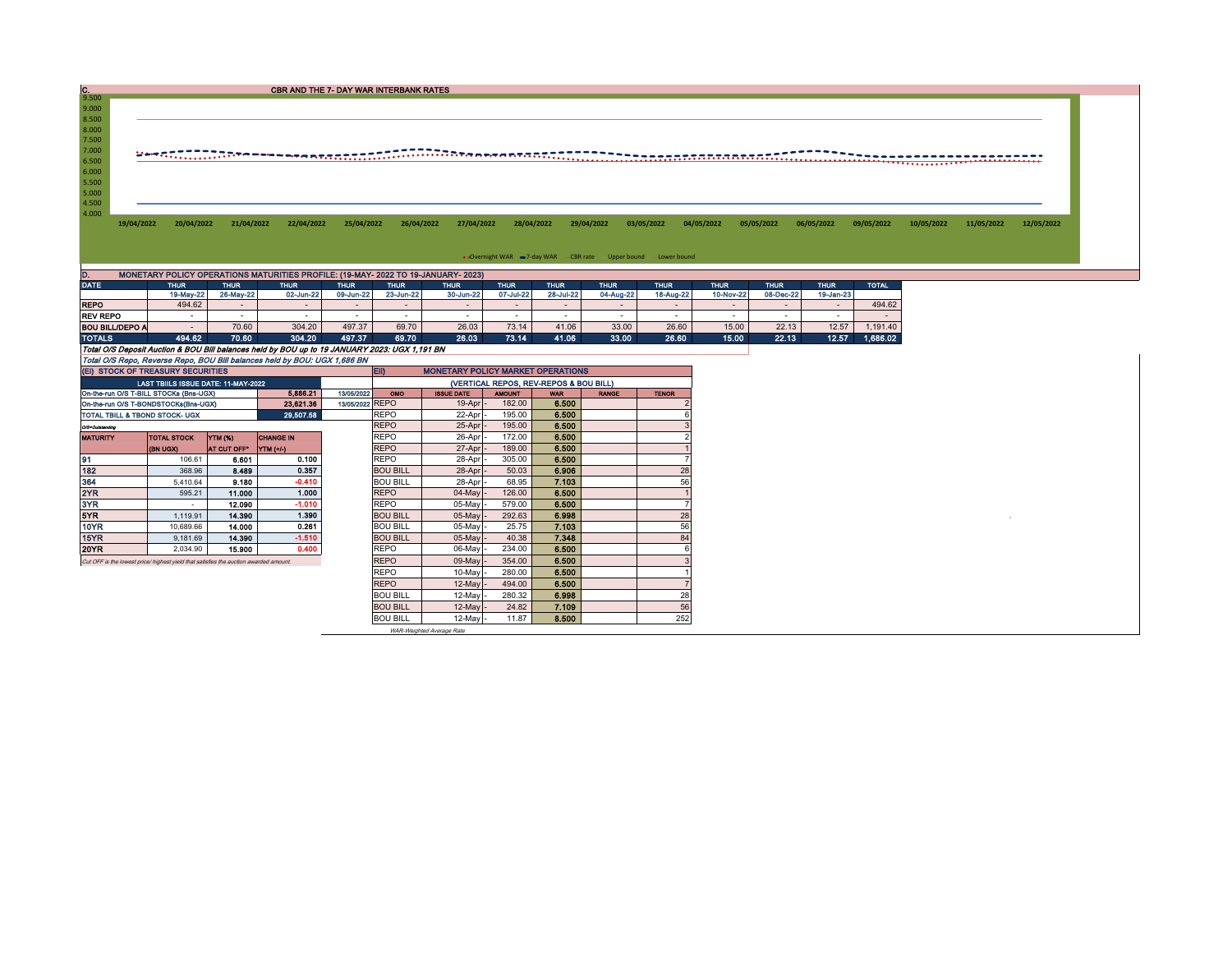| $\frac{C}{9.500}$      |                                                                                       |             | <b>CBR AND THE 7- DAY WAR INTERBANK RATES</b>                                                                                                                                                                                  |                 |                 |                                   |               |                                        |                                                                    |                |             |             |             |              |            |            |            |
|------------------------|---------------------------------------------------------------------------------------|-------------|--------------------------------------------------------------------------------------------------------------------------------------------------------------------------------------------------------------------------------|-----------------|-----------------|-----------------------------------|---------------|----------------------------------------|--------------------------------------------------------------------|----------------|-------------|-------------|-------------|--------------|------------|------------|------------|
| 9.000                  |                                                                                       |             |                                                                                                                                                                                                                                |                 |                 |                                   |               |                                        |                                                                    |                |             |             |             |              |            |            |            |
| 8.500                  |                                                                                       |             |                                                                                                                                                                                                                                |                 |                 |                                   |               |                                        |                                                                    |                |             |             |             |              |            |            |            |
| 8.000                  |                                                                                       |             |                                                                                                                                                                                                                                |                 |                 |                                   |               |                                        |                                                                    |                |             |             |             |              |            |            |            |
| 7.500                  |                                                                                       |             |                                                                                                                                                                                                                                |                 |                 |                                   |               |                                        |                                                                    |                |             |             |             |              |            |            |            |
| 7.000                  |                                                                                       |             | was strictly in the manuscript of the constitution of the manuscript of the constant of the constant of the constant of the constant of the constant of the constant of the constant of the constant of the constant of the co |                 |                 |                                   |               |                                        |                                                                    |                |             |             |             |              |            |            |            |
| 6.500                  |                                                                                       |             |                                                                                                                                                                                                                                |                 |                 |                                   |               |                                        |                                                                    |                |             |             |             |              |            |            |            |
| 6.000                  |                                                                                       |             |                                                                                                                                                                                                                                |                 |                 |                                   |               |                                        |                                                                    |                |             |             |             |              |            |            |            |
| 5.500                  |                                                                                       |             |                                                                                                                                                                                                                                |                 |                 |                                   |               |                                        |                                                                    |                |             |             |             |              |            |            |            |
| 5.000<br>4.500         |                                                                                       |             |                                                                                                                                                                                                                                |                 |                 |                                   |               |                                        |                                                                    |                |             |             |             |              |            |            |            |
| 4.000                  |                                                                                       |             |                                                                                                                                                                                                                                |                 |                 |                                   |               |                                        |                                                                    |                |             |             |             |              |            |            |            |
| 19/04/2022             | 20/04/2022                                                                            | 21/04/2022  | 22/04/2022                                                                                                                                                                                                                     | 25/04/2022      | 26/04/2022      | 27/04/2022                        |               | 28/04/2022                             | 29/04/2022                                                         | 03/05/2022     | 04/05/2022  | 05/05/2022  | 06/05/2022  | 09/05/2022   | 10/05/2022 | 11/05/2022 | 12/05/2022 |
|                        |                                                                                       |             |                                                                                                                                                                                                                                |                 |                 |                                   |               |                                        |                                                                    |                |             |             |             |              |            |            |            |
|                        |                                                                                       |             |                                                                                                                                                                                                                                |                 |                 |                                   |               |                                        |                                                                    |                |             |             |             |              |            |            |            |
|                        |                                                                                       |             |                                                                                                                                                                                                                                |                 |                 |                                   |               |                                        | • Overnight WAR = 7-day WAR - CBR rate - Upper bound - Lower bound |                |             |             |             |              |            |            |            |
|                        |                                                                                       |             |                                                                                                                                                                                                                                |                 |                 |                                   |               |                                        |                                                                    |                |             |             |             |              |            |            |            |
| <b>DATE</b>            | <b>THUR</b>                                                                           | <b>THUR</b> | MONETARY POLICY OPERATIONS MATURITIES PROFILE: (19-MAY- 2022 TO 19-JANUARY- 2023)<br><b>THUR</b>                                                                                                                               | <b>THUR</b>     | <b>THUR</b>     | <b>THUR</b>                       | <b>THUR</b>   | <b>THUR</b>                            | <b>THUR</b>                                                        | <b>THUR</b>    | <b>THUR</b> | <b>THUR</b> | <b>THUR</b> | <b>TOTAL</b> |            |            |            |
|                        | 19-May-22                                                                             | 26-May-22   | 02-Jun-22                                                                                                                                                                                                                      | 09-Jun-22       | 23-Jun-22       | 30-Jun-22                         | 07-Jul-22     | 28-Jul-22                              | 04-Aug-22                                                          | 18-Aug-22      | 10-Nov-22   | 08-Dec-22   | 19-Jan-23   |              |            |            |            |
| <b>REPO</b>            | 494.62                                                                                | $\sim$      | $\sim$                                                                                                                                                                                                                         | $\sim$          | $\sim$          | $\sim$                            | $\sim$        | $\sim$                                 | $\sim$                                                             | $\sim$         | $\sim$      |             | $\sim$      | 494.62       |            |            |            |
| <b>REV REPO</b>        | $\sim$                                                                                | $\sim$      | $\sim$                                                                                                                                                                                                                         | $\sim$          | $\sim$          | $\sim$                            | $\sim$        | $\sim$                                 | $\sim$                                                             | $\sim$         | $\sim$      |             | $\sim$      |              |            |            |            |
| <b>BOU BILL/DEPO A</b> | $\sim$                                                                                | 70.60       | 304.20                                                                                                                                                                                                                         | 497.37          | 69.70           | 26.03                             | 73.14         | 41.06                                  | 33.00                                                              | 26.60          | 15.00       | 22.13       | 12.57       | 1,191.40     |            |            |            |
| <b>TOTALS</b>          | 494.62                                                                                | 70.60       | 304.20                                                                                                                                                                                                                         | 497.37          | 69.70           | 26.03                             | 73.14         | 41.06                                  | 33.00                                                              | 26.60          | 15.00       | 22.13       | 12.57       | 1.686.02     |            |            |            |
|                        |                                                                                       |             | Total O/S Deposit Auction & BOU Bill balances held by BOU up to 19 JANUARY 2023: UGX 1,191 BN                                                                                                                                  |                 |                 |                                   |               |                                        |                                                                    |                |             |             |             |              |            |            |            |
|                        |                                                                                       |             | Total O/S Repo, Reverse Repo, BOU Bill balances held by BOU: UGX 1,686 BN                                                                                                                                                      |                 |                 |                                   |               |                                        |                                                                    |                |             |             |             |              |            |            |            |
|                        | (EI) STOCK OF TREASURY SECURITIES                                                     |             |                                                                                                                                                                                                                                |                 | EID             | MONETARY POLICY MARKET OPERATIONS |               |                                        |                                                                    |                |             |             |             |              |            |            |            |
|                        | LAST TBIILS ISSUE DATE: 11-MAY-2022                                                   |             |                                                                                                                                                                                                                                |                 |                 |                                   |               | (VERTICAL REPOS, REV-REPOS & BOU BILL) |                                                                    |                |             |             |             |              |            |            |            |
|                        | On-the-run O/S T-BILL STOCKs (Bns-UGX)                                                |             | 5.886.21                                                                                                                                                                                                                       | 13/05/2022      | OMO             | <b>ISSUE DATE</b>                 | <b>AMOUNT</b> | <b>WAR</b>                             | <b>RANGE</b>                                                       | <b>TENOR</b>   |             |             |             |              |            |            |            |
|                        | On-the-run O/S T-BONDSTOCKs(Bns-UGX)                                                  |             | 23,621.36                                                                                                                                                                                                                      | 13/05/2022 REPO |                 | 19-Apr                            | 182.00        | 6.500                                  |                                                                    |                |             |             |             |              |            |            |            |
|                        | TOTAL TBILL & TBOND STOCK- UGX                                                        |             | 29,507.58                                                                                                                                                                                                                      |                 | <b>REPO</b>     | 22-Apr                            | 195.00        | 6.500                                  |                                                                    |                |             |             |             |              |            |            |            |
| O/S=Outstanding        |                                                                                       |             |                                                                                                                                                                                                                                |                 | <b>REPO</b>     | 25-Apr                            | 195.00        | 6.500                                  |                                                                    |                |             |             |             |              |            |            |            |
| <b>MATURITY</b>        | <b>TOTAL STOCK</b>                                                                    | YTM (%)     | <b>CHANGE IN</b>                                                                                                                                                                                                               |                 | <b>REPO</b>     | 26-Apr                            | 172.00        | 6.500                                  |                                                                    |                |             |             |             |              |            |            |            |
|                        | (BN UGX)                                                                              | AT CUT OFF* | YTM (+/-)                                                                                                                                                                                                                      |                 | <b>REPO</b>     | 27-Apr                            | 189.00        | 6.500                                  |                                                                    |                |             |             |             |              |            |            |            |
| 91                     | 106.61                                                                                | 6.601       | 0.100                                                                                                                                                                                                                          |                 | <b>REPO</b>     | 28-Apr                            | 305.00        | 6.500                                  |                                                                    | $\overline{7}$ |             |             |             |              |            |            |            |
| 182                    | 368.96                                                                                | 8.489       | 0.357                                                                                                                                                                                                                          |                 | <b>BOU BILL</b> | 28-Apr                            | 50.03         | 6.906                                  |                                                                    | 28             |             |             |             |              |            |            |            |
| 364                    | 5.410.64                                                                              | 9.180       | $-0.410$                                                                                                                                                                                                                       |                 | <b>BOU BILL</b> | 28-Apr                            | 68.95         | 7.103                                  |                                                                    | 56             |             |             |             |              |            |            |            |
| 2YR                    | 595.21                                                                                | 11.000      | 1.000                                                                                                                                                                                                                          |                 | <b>REPO</b>     | 04-May                            | 126.00        | 6.500                                  |                                                                    |                |             |             |             |              |            |            |            |
| 3YR                    | $\sim$                                                                                | 12.090      | $-1.010$                                                                                                                                                                                                                       |                 | <b>REPO</b>     | 05-May                            | 579.00        | 6.500                                  |                                                                    | $\overline{7}$ |             |             |             |              |            |            |            |
| 5YR                    | 1.119.91                                                                              | 14,390      | 1.390                                                                                                                                                                                                                          |                 | <b>BOU BILL</b> | 05-May                            | 292.63        | 6.998                                  |                                                                    | 28             |             |             |             |              |            |            |            |
| 10YR                   | 10,689.66                                                                             | 14.000      | 0.261                                                                                                                                                                                                                          |                 | <b>BOU BILL</b> | 05-May                            | 25.75         | 7.103                                  |                                                                    | 56             |             |             |             |              |            |            |            |
| 15YR                   | 9,181.69                                                                              | 14.390      | $-1.510$                                                                                                                                                                                                                       |                 | <b>BOU BILL</b> | 05-May                            | 40.38         | 7.348                                  |                                                                    | 84             |             |             |             |              |            |            |            |
| <b>20YR</b>            | 2.034.90                                                                              | 15.900      | 0.400                                                                                                                                                                                                                          |                 | <b>REPO</b>     | 06-May                            | 234.00        | 6.500                                  |                                                                    |                |             |             |             |              |            |            |            |
|                        | Cut OFF is the lowest price/ highest yield that satisfies the auction awarded amount. |             |                                                                                                                                                                                                                                |                 | <b>REPO</b>     | 09-May                            | 354.00        | 6.500                                  |                                                                    |                |             |             |             |              |            |            |            |
|                        |                                                                                       |             |                                                                                                                                                                                                                                |                 | <b>REPO</b>     | 10-May                            | 280.00        | 6.500                                  |                                                                    |                |             |             |             |              |            |            |            |
|                        |                                                                                       |             |                                                                                                                                                                                                                                |                 | <b>REPO</b>     | 12-May                            | 494.00        | 6.500                                  |                                                                    |                |             |             |             |              |            |            |            |

12-May - 494.00 6.500<br>12-May - 280.32 6.998 800 BILL 12-May 280.32 6.998 28<br>BOU BILL 12-May 24.82 7.109 56 BOU BILL 12-May - 24.82 7.109 56 BOU BILL 12-May - 11.87 8.500 252

WAR-Weighted Average Rate